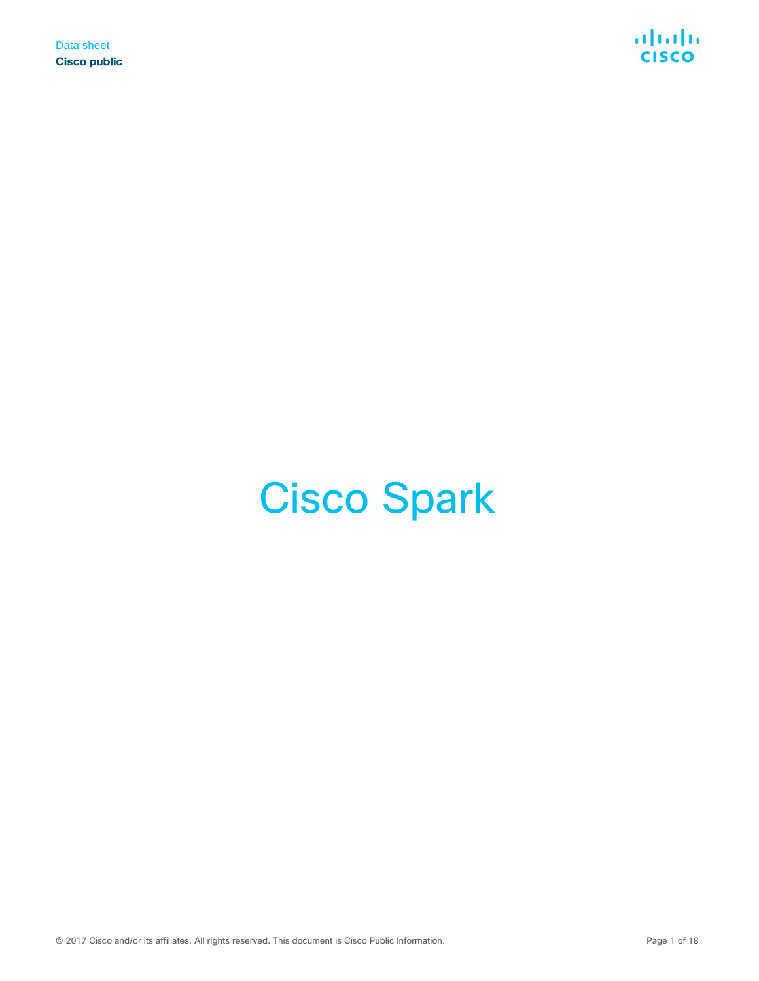

# Cisco Spark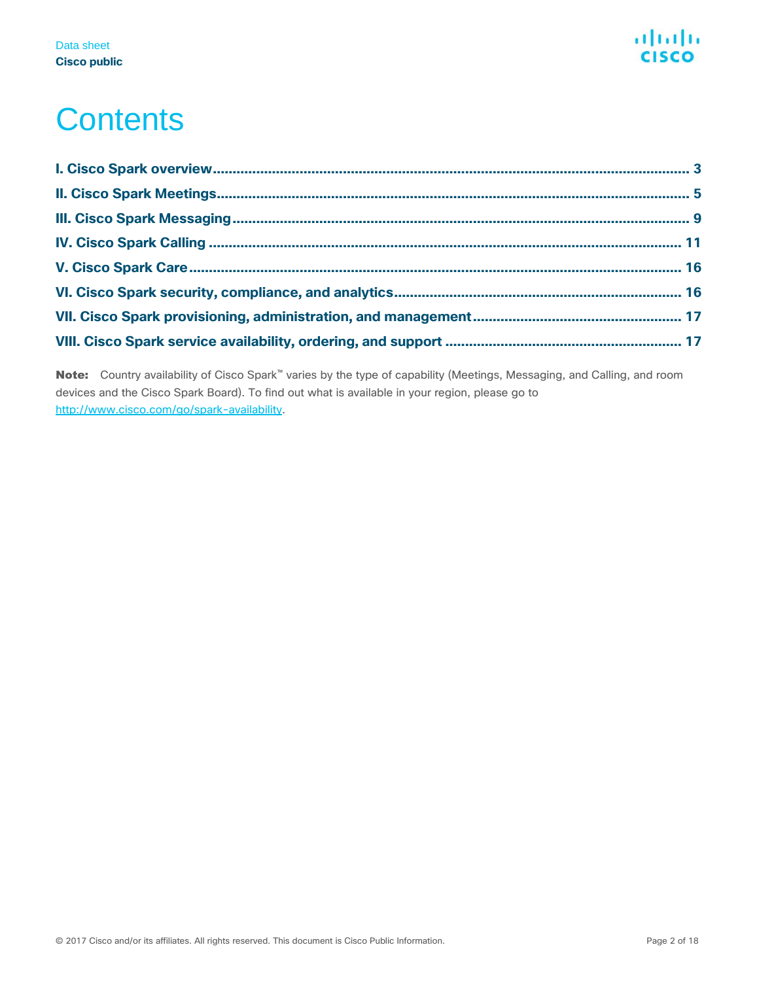

## **Contents**

Note: Country availability of Cisco Spark<sup>™</sup> varies by the type of capability (Meetings, Messaging, and Calling, and room devices and the Cisco Spark Board). To find out what is available in your region, please go to [http://www.cisco.com/go/spark-availability.](http://www.cisco.com/go/spark-availability)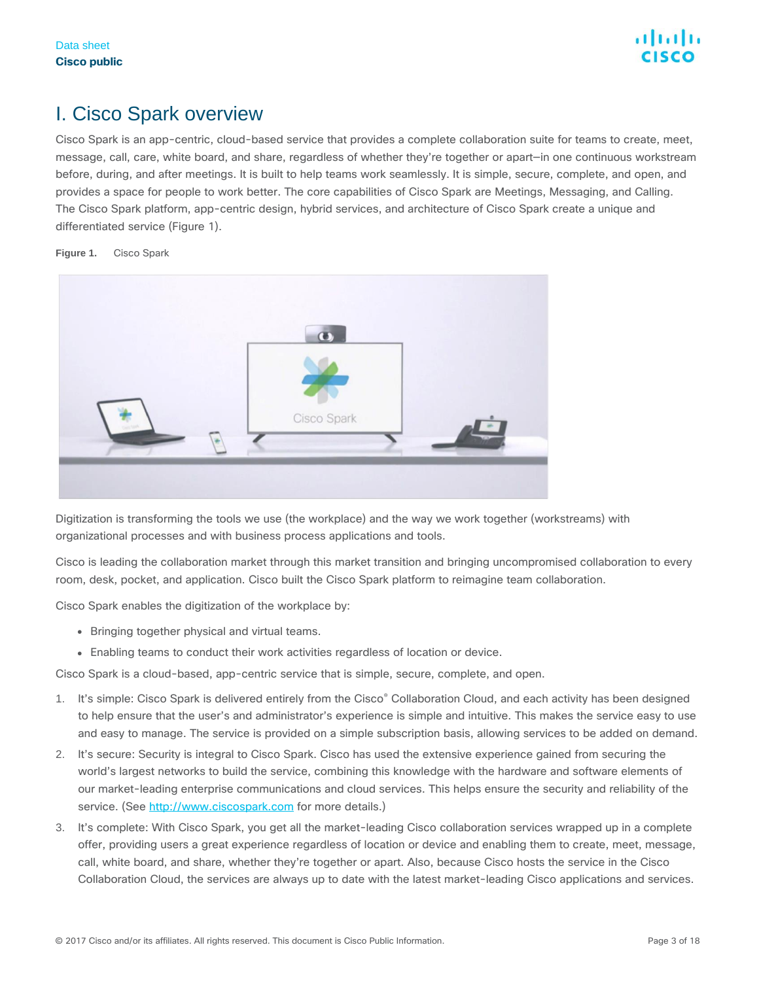### <span id="page-2-0"></span>I. Cisco Spark overview

Cisco Spark is an app-centric, cloud-based service that provides a complete collaboration suite for teams to create, meet, message, call, care, white board, and share, regardless of whether they're together or apart—in one continuous workstream before, during, and after meetings. It is built to help teams work seamlessly. It is simple, secure, complete, and open, and provides a space for people to work better. The core capabilities of Cisco Spark are Meetings, Messaging, and Calling. The Cisco Spark platform, app-centric design, hybrid services, and architecture of Cisco Spark create a unique and differentiated service (Figure 1).



**Figure 1.** Cisco Spark

Digitization is transforming the tools we use (the workplace) and the way we work together (workstreams) with organizational processes and with business process applications and tools.

Cisco is leading the collaboration market through this market transition and bringing uncompromised collaboration to every room, desk, pocket, and application. Cisco built the Cisco Spark platform to reimagine team collaboration.

Cisco Spark enables the digitization of the workplace by:

- Bringing together physical and virtual teams.
- Enabling teams to conduct their work activities regardless of location or device.

Cisco Spark is a cloud-based, app-centric service that is simple, secure, complete, and open.

- 1. It's simple: Cisco Spark is delivered entirely from the Cisco® Collaboration Cloud, and each activity has been designed to help ensure that the user's and administrator's experience is simple and intuitive. This makes the service easy to use and easy to manage. The service is provided on a simple subscription basis, allowing services to be added on demand.
- 2. It's secure: Security is integral to Cisco Spark. Cisco has used the extensive experience gained from securing the world's largest networks to build the service, combining this knowledge with the hardware and software elements of our market-leading enterprise communications and cloud services. This helps ensure the security and reliability of the service. (See [http://www.ciscospark.com](http://www.ciscospark.com/) for more details.)
- 3. It's complete: With Cisco Spark, you get all the market-leading Cisco collaboration services wrapped up in a complete offer, providing users a great experience regardless of location or device and enabling them to create, meet, message, call, white board, and share, whether they're together or apart. Also, because Cisco hosts the service in the Cisco Collaboration Cloud, the services are always up to date with the latest market-leading Cisco applications and services.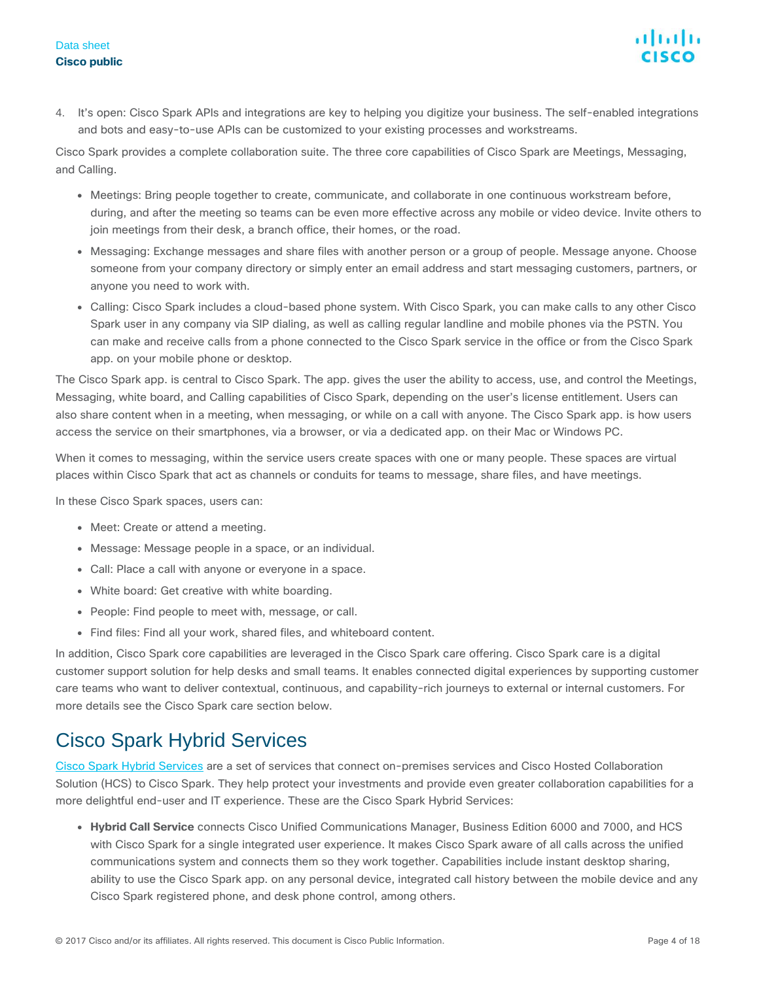#### Data sheet **Cisco public**

4. It's open: Cisco Spark APIs and integrations are key to helping you digitize your business. The self-enabled integrations and bots and easy-to-use APIs can be customized to your existing processes and workstreams.

Cisco Spark provides a complete collaboration suite. The three core capabilities of Cisco Spark are Meetings, Messaging, and Calling.

- Meetings: Bring people together to create, communicate, and collaborate in one continuous workstream before, during, and after the meeting so teams can be even more effective across any mobile or video device. Invite others to join meetings from their desk, a branch office, their homes, or the road.
- Messaging: Exchange messages and share files with another person or a group of people. Message anyone. Choose someone from your company directory or simply enter an email address and start messaging customers, partners, or anyone you need to work with.
- Calling: Cisco Spark includes a cloud-based phone system. With Cisco Spark, you can make calls to any other Cisco Spark user in any company via SIP dialing, as well as calling regular landline and mobile phones via the PSTN. You can make and receive calls from a phone connected to the Cisco Spark service in the office or from the Cisco Spark app. on your mobile phone or desktop.

The Cisco Spark app. is central to Cisco Spark. The app. gives the user the ability to access, use, and control the Meetings, Messaging, white board, and Calling capabilities of Cisco Spark, depending on the user's license entitlement. Users can also share content when in a meeting, when messaging, or while on a call with anyone. The Cisco Spark app. is how users access the service on their smartphones, via a browser, or via a dedicated app. on their Mac or Windows PC.

When it comes to messaging, within the service users create spaces with one or many people. These spaces are virtual places within Cisco Spark that act as channels or conduits for teams to message, share files, and have meetings.

In these Cisco Spark spaces, users can:

- Meet: Create or attend a meeting.
- Message: Message people in a space, or an individual.
- Call: Place a call with anyone or everyone in a space.
- White board: Get creative with white boarding.
- People: Find people to meet with, message, or call.
- Find files: Find all your work, shared files, and whiteboard content.

In addition, Cisco Spark core capabilities are leveraged in the Cisco Spark care offering. Cisco Spark care is a digital customer support solution for help desks and small teams. It enables connected digital experiences by supporting customer care teams who want to deliver contextual, continuous, and capability-rich journeys to external or internal customers. For more details see the Cisco Spark care section below.

### Cisco Spark Hybrid Services

[Cisco Spark Hybrid Services](http://www.cisco.com/go/sparkhybrid) are a set of services that connect on-premises services and Cisco Hosted Collaboration Solution (HCS) to Cisco Spark. They help protect your investments and provide even greater collaboration capabilities for a more delightful end-user and IT experience. These are the Cisco Spark Hybrid Services:

● **Hybrid Call Service** connects Cisco Unified Communications Manager, Business Edition 6000 and 7000, and HCS with Cisco Spark for a single integrated user experience. It makes Cisco Spark aware of all calls across the unified communications system and connects them so they work together. Capabilities include instant desktop sharing, ability to use the Cisco Spark app. on any personal device, integrated call history between the mobile device and any Cisco Spark registered phone, and desk phone control, among others.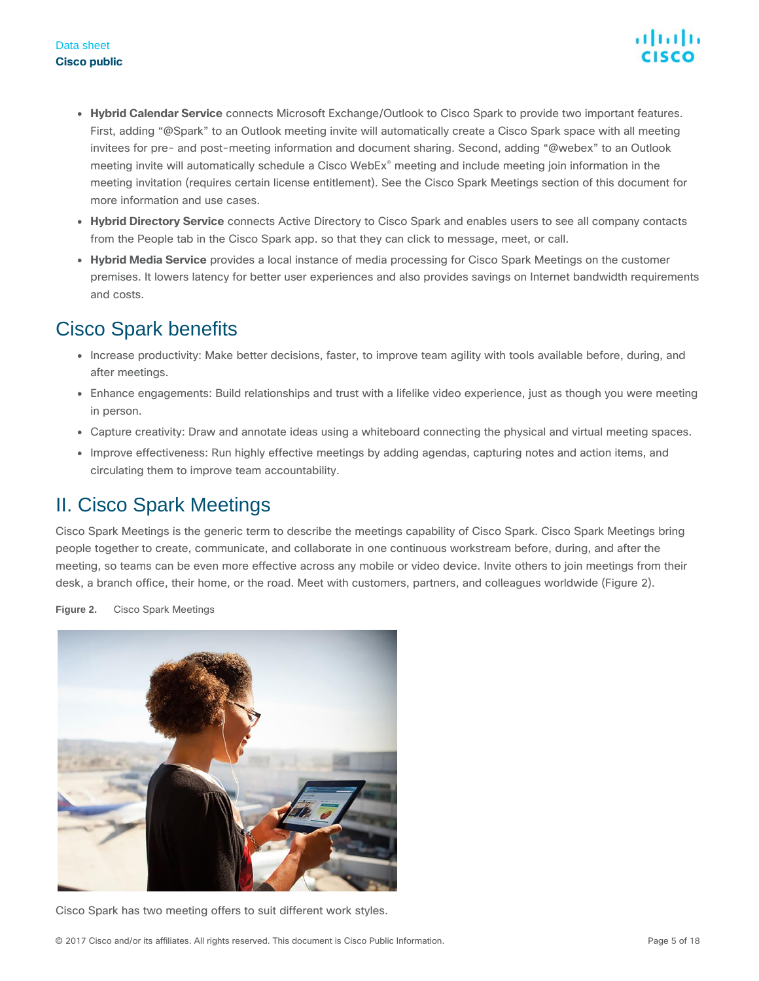- **Hybrid Calendar Service** connects Microsoft Exchange/Outlook to Cisco Spark to provide two important features. First, adding "@Spark" to an Outlook meeting invite will automatically create a Cisco Spark space with all meeting invitees for pre- and post-meeting information and document sharing. Second, adding "@webex" to an Outlook meeting invite will automatically schedule a Cisco WebEx® meeting and include meeting join information in the meeting invitation (requires certain license entitlement). See the Cisco Spark Meetings section of this document for more information and use cases.
- **Hybrid Directory Service** connects Active Directory to Cisco Spark and enables users to see all company contacts from the People tab in the Cisco Spark app. so that they can click to message, meet, or call.
- **Hybrid Media Service** provides a local instance of media processing for Cisco Spark Meetings on the customer premises. It lowers latency for better user experiences and also provides savings on Internet bandwidth requirements and costs.

### Cisco Spark benefits

- Increase productivity: Make better decisions, faster, to improve team agility with tools available before, during, and after meetings.
- Enhance engagements: Build relationships and trust with a lifelike video experience, just as though you were meeting in person.
- Capture creativity: Draw and annotate ideas using a whiteboard connecting the physical and virtual meeting spaces.
- Improve effectiveness: Run highly effective meetings by adding agendas, capturing notes and action items, and circulating them to improve team accountability.

### <span id="page-4-0"></span>II. Cisco Spark Meetings

Cisco Spark Meetings is the generic term to describe the meetings capability of Cisco Spark. Cisco Spark Meetings bring people together to create, communicate, and collaborate in one continuous workstream before, during, and after the meeting, so teams can be even more effective across any mobile or video device. Invite others to join meetings from their desk, a branch office, their home, or the road. Meet with customers, partners, and colleagues worldwide (Figure 2).

**Figure 2.** Cisco Spark Meetings



Cisco Spark has two meeting offers to suit different work styles.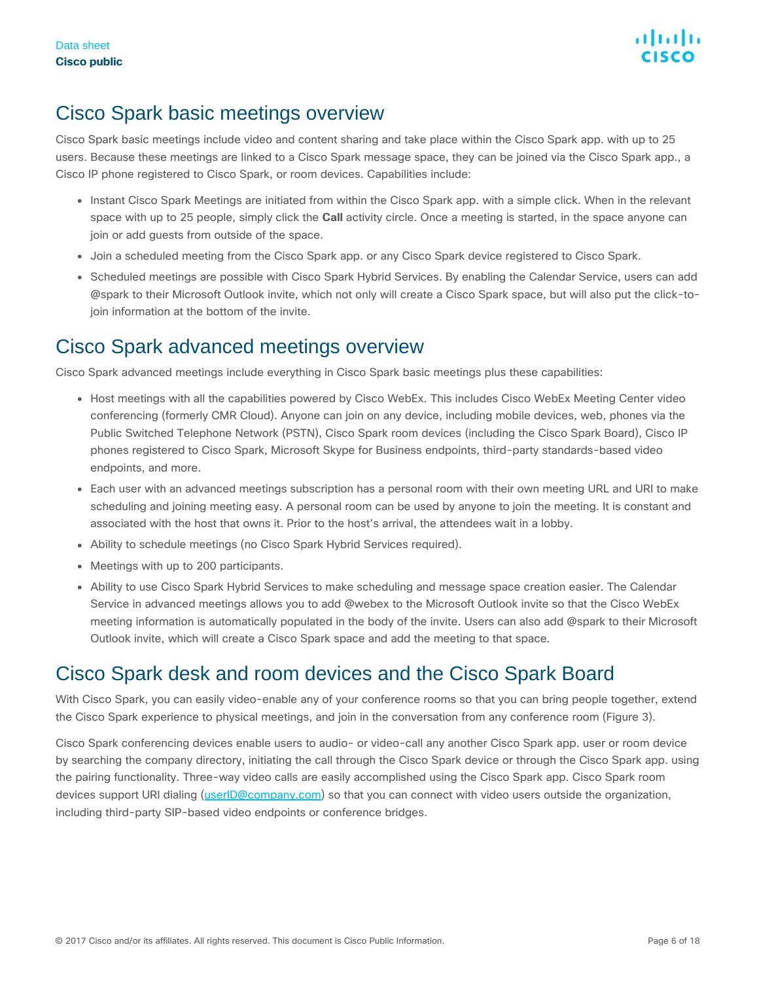### Cisco Spark basic meetings overview

Cisco Spark basic meetings include video and content sharing and take place within the Cisco Spark app. with up to 25 users. Because these meetings are linked to a Cisco Spark message space, they can be joined via the Cisco Spark app., a Cisco IP phone registered to Cisco Spark, or room devices. Capabilities include:

- Instant Cisco Spark Meetings are initiated from within the Cisco Spark app. with a simple click. When in the relevant space with up to 25 people, simply click the **Call** activity circle. Once a meeting is started, in the space anyone can join or add guests from outside of the space.
- Join a scheduled meeting from the Cisco Spark app. or any Cisco Spark device registered to Cisco Spark.
- Scheduled meetings are possible with Cisco Spark Hybrid Services. By enabling the Calendar Service, users can add @spark to their Microsoft Outlook invite, which not only will create a Cisco Spark space, but will also put the click-tojoin information at the bottom of the invite.

### Cisco Spark advanced meetings overview

Cisco Spark advanced meetings include everything in Cisco Spark basic meetings plus these capabilities:

- Host meetings with all the capabilities powered by Cisco WebEx. This includes Cisco WebEx Meeting Center video conferencing (formerly CMR Cloud). Anyone can join on any device, including mobile devices, web, phones via the Public Switched Telephone Network (PSTN), Cisco Spark room devices (including the Cisco Spark Board), Cisco IP phones registered to Cisco Spark, Microsoft Skype for Business endpoints, third-party standards-based video endpoints, and more.
- Each user with an advanced meetings subscription has a personal room with their own meeting URL and URI to make scheduling and joining meeting easy. A personal room can be used by anyone to join the meeting. It is constant and associated with the host that owns it. Prior to the host's arrival, the attendees wait in a lobby.
- Ability to schedule meetings (no Cisco Spark Hybrid Services required).
- Meetings with up to 200 participants.
- Ability to use Cisco Spark Hybrid Services to make scheduling and message space creation easier. The Calendar Service in advanced meetings allows you to add @webex to the Microsoft Outlook invite so that the Cisco WebEx meeting information is automatically populated in the body of the invite. Users can also add @spark to their Microsoft Outlook invite, which will create a Cisco Spark space and add the meeting to that space.

### Cisco Spark desk and room devices and the Cisco Spark Board

With Cisco Spark, you can easily video-enable any of your conference rooms so that you can bring people together, extend the Cisco Spark experience to physical meetings, and join in the conversation from any conference room (Figure 3).

Cisco Spark conferencing devices enable users to audio- or video-call any another Cisco Spark app. user or room device by searching the company directory, initiating the call through the Cisco Spark device or through the Cisco Spark app. using the pairing functionality. Three-way video calls are easily accomplished using the Cisco Spark app. Cisco Spark room devices support URI dialing [\(userID@company.com\)](mailto:userID@company.com) so that you can connect with video users outside the organization, including third-party SIP-based video endpoints or conference bridges.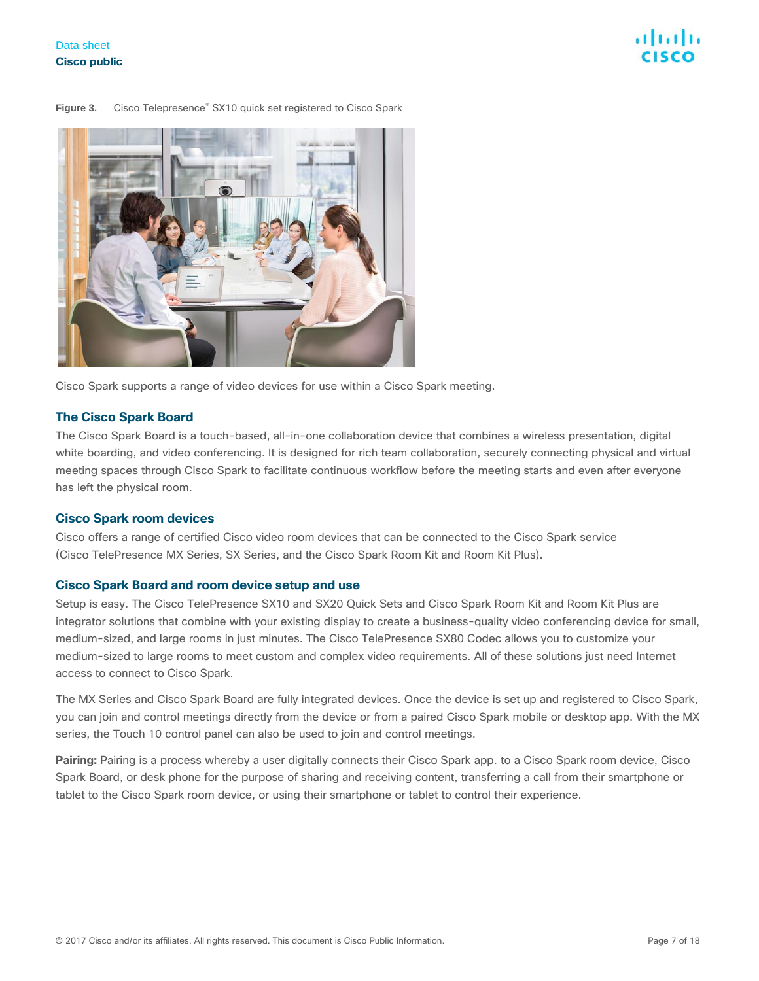#### Figure 3. Cisco Telepresence<sup>®</sup> SX10 quick set registered to Cisco Spark



Cisco Spark supports a range of video devices for use within a Cisco Spark meeting.

#### **The Cisco Spark Board**

The Cisco Spark Board is a touch-based, all-in-one collaboration device that combines a wireless presentation, digital white boarding, and video conferencing. It is designed for rich team collaboration, securely connecting physical and virtual meeting spaces through Cisco Spark to facilitate continuous workflow before the meeting starts and even after everyone has left the physical room.

#### **Cisco Spark room devices**

Cisco offers a range of certified Cisco video room devices that can be connected to the Cisco Spark service (Cisco TelePresence MX Series, SX Series, and the Cisco Spark Room Kit and Room Kit Plus).

#### **Cisco Spark Board and room device setup and use**

Setup is easy. The Cisco TelePresence SX10 and SX20 Quick Sets and Cisco Spark Room Kit and Room Kit Plus are integrator solutions that combine with your existing display to create a business-quality video conferencing device for small, medium-sized, and large rooms in just minutes. The Cisco TelePresence SX80 Codec allows you to customize your medium-sized to large rooms to meet custom and complex video requirements. All of these solutions just need Internet access to connect to Cisco Spark.

The MX Series and Cisco Spark Board are fully integrated devices. Once the device is set up and registered to Cisco Spark, you can join and control meetings directly from the device or from a paired Cisco Spark mobile or desktop app. With the MX series, the Touch 10 control panel can also be used to join and control meetings.

**Pairing:** Pairing is a process whereby a user digitally connects their Cisco Spark app. to a Cisco Spark room device, Cisco Spark Board, or desk phone for the purpose of sharing and receiving content, transferring a call from their smartphone or tablet to the Cisco Spark room device, or using their smartphone or tablet to control their experience.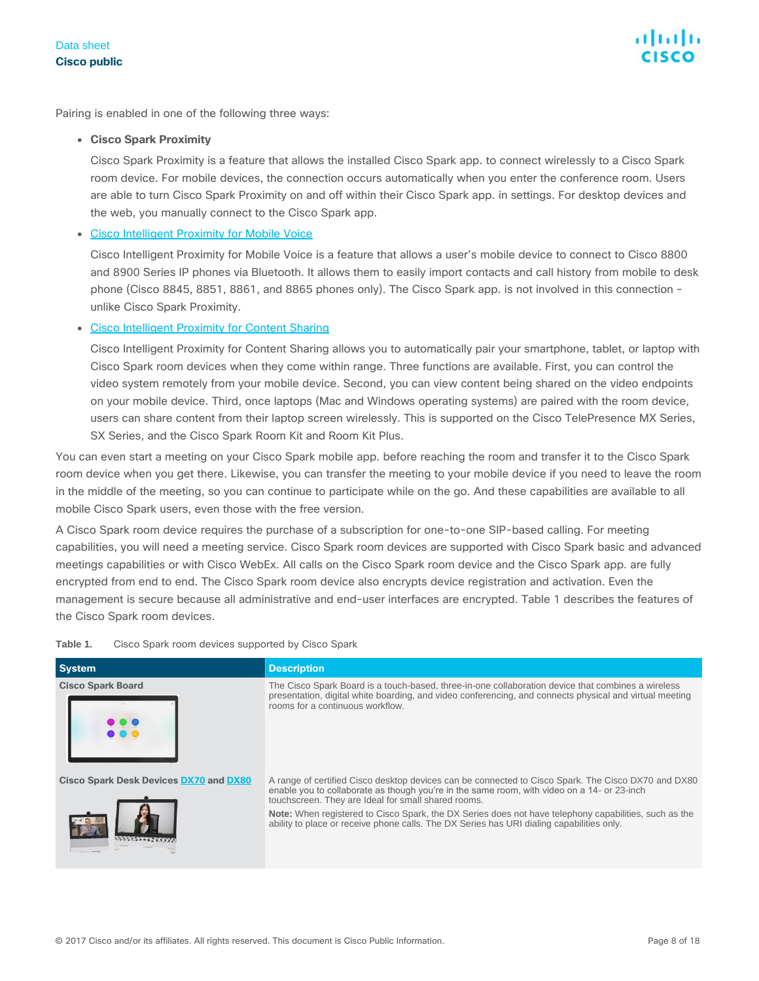Pairing is enabled in one of the following three ways:

#### ● **Cisco Spark Proximity**

Cisco Spark Proximity is a feature that allows the installed Cisco Spark app. to connect wirelessly to a Cisco Spark room device. For mobile devices, the connection occurs automatically when you enter the conference room. Users are able to turn Cisco Spark Proximity on and off within their Cisco Spark app. in settings. For desktop devices and the web, you manually connect to the Cisco Spark app.

#### • [Cisco Intelligent Proximity for Mobile Voice](http://www.cisco.com/c/en/us/products/collaboration-endpoints/intelligent-proximity.html)

Cisco Intelligent Proximity for Mobile Voice is a feature that allows a user's mobile device to connect to Cisco 8800 and 8900 Series IP phones via Bluetooth. It allows them to easily import contacts and call history from mobile to desk phone (Cisco 8845, 8851, 8861, and 8865 phones only). The Cisco Spark app. is not involved in this connection – unlike Cisco Spark Proximity.

**[Cisco Intelligent Proximity for Content Sharing](http://www.cisco.com/c/en/us/products/collaboration-endpoints/intelligent-proximity.html)** 

Cisco Intelligent Proximity for Content Sharing allows you to automatically pair your smartphone, tablet, or laptop with Cisco Spark room devices when they come within range. Three functions are available. First, you can control the video system remotely from your mobile device. Second, you can view content being shared on the video endpoints on your mobile device. Third, once laptops (Mac and Windows operating systems) are paired with the room device, users can share content from their laptop screen wirelessly. This is supported on the Cisco TelePresence MX Series, SX Series, and the Cisco Spark Room Kit and Room Kit Plus.

You can even start a meeting on your Cisco Spark mobile app. before reaching the room and transfer it to the Cisco Spark room device when you get there. Likewise, you can transfer the meeting to your mobile device if you need to leave the room in the middle of the meeting, so you can continue to participate while on the go. And these capabilities are available to all mobile Cisco Spark users, even those with the free version.

A Cisco Spark room device requires the purchase of a subscription for one-to-one SIP-based calling. For meeting capabilities, you will need a meeting service. Cisco Spark room devices are supported with Cisco Spark basic and advanced meetings capabilities or with Cisco WebEx. All calls on the Cisco Spark room device and the Cisco Spark app. are fully encrypted from end to end. The Cisco Spark room device also encrypts device registration and activation. Even the management is secure because all administrative and end-user interfaces are encrypted. Table 1 describes the features of the Cisco Spark room devices.

| <b>System</b>                                 | <b>Description</b>                                                                                                                                                                                                                                                                                                                                                                                                                                                     |
|-----------------------------------------------|------------------------------------------------------------------------------------------------------------------------------------------------------------------------------------------------------------------------------------------------------------------------------------------------------------------------------------------------------------------------------------------------------------------------------------------------------------------------|
| <b>Cisco Spark Board</b>                      | The Cisco Spark Board is a touch-based, three-in-one collaboration device that combines a wireless<br>presentation, digital white boarding, and video conferencing, and connects physical and virtual meeting<br>rooms for a continuous workflow.                                                                                                                                                                                                                      |
| <b>Cisco Spark Desk Devices DX70 and DX80</b> | A range of certified Cisco desktop devices can be connected to Cisco Spark. The Cisco DX70 and DX80<br>enable you to collaborate as though you're in the same room, with video on a 14- or 23-inch<br>touchscreen. They are Ideal for small shared rooms.<br><b>Note:</b> When registered to Cisco Spark, the DX Series does not have telephony capabilities, such as the<br>ability to place or receive phone calls. The DX Series has URI dialing capabilities only. |

**Table 1.** Cisco Spark room devices supported by Cisco Spark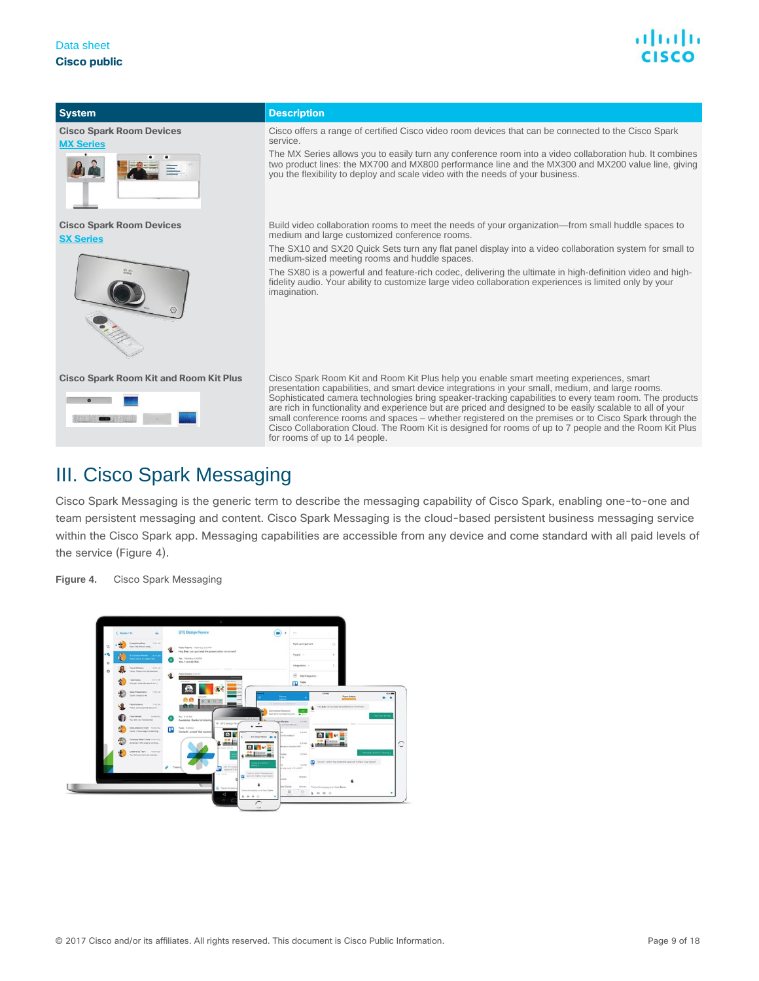

**System Description Cisco Spark Room Devices** Cisco offers a range of certified Cisco video room devices that can be connected to the Cisco Spark service. **MX Se** The MX Series allows you to easily turn any conference room into a video collaboration hub. It combines two product lines: the MX700 and MX800 performance line and the MX300 and MX200 value line, giving you the flexibility to deploy and scale video with the needs of your business. **Cisco Spark Room Devices** Build video collaboration rooms to meet the needs of your organization—from small huddle spaces to medium and large customized conference rooms. **[SX Series](http://www.cisco.com/c/en/us/products/collaboration-endpoints/telepresence-quick-set-series/index.html)** The SX10 and SX20 Quick Sets turn any flat panel display into a video collaboration system for small to medium-sized meeting rooms and huddle spaces. The SX80 is a powerful and feature-rich codec, delivering the ultimate in high-definition video and highfidelity audio. Your ability to customize large video collaboration experiences is limited only by your imagination. **Cisco Spark Room Kit and Room Kit Plus** Cisco Spark Room Kit and Room Kit Plus help you enable smart meeting experiences, smart presentation capabilities, and smart device integrations in your small, medium, and large rooms.  $\bullet$ Sophisticated camera technologies bring speaker-tracking capabilities to every team room. The products are rich in functionality and experience but are priced and designed to be easily scalable to all of your small conference rooms and spaces – whether registered on the premises or to Cisco Spark through the Cisco Collaboration Cloud. The Room Kit is designed for rooms of up to 7 people and the Room Kit Plus for rooms of up to 14 people. III. Cisco Spark Messaging

<span id="page-8-0"></span>Cisco Spark Messaging is the generic term to describe the messaging capability of Cisco Spark, enabling one-to-one and team persistent messaging and content. Cisco Spark Messaging is the cloud-based persistent business messaging service within the Cisco Spark app. Messaging capabilities are accessible from any device and come standard with all paid levels of the service (Figure 4).

**Figure 4.** Cisco Spark Messaging

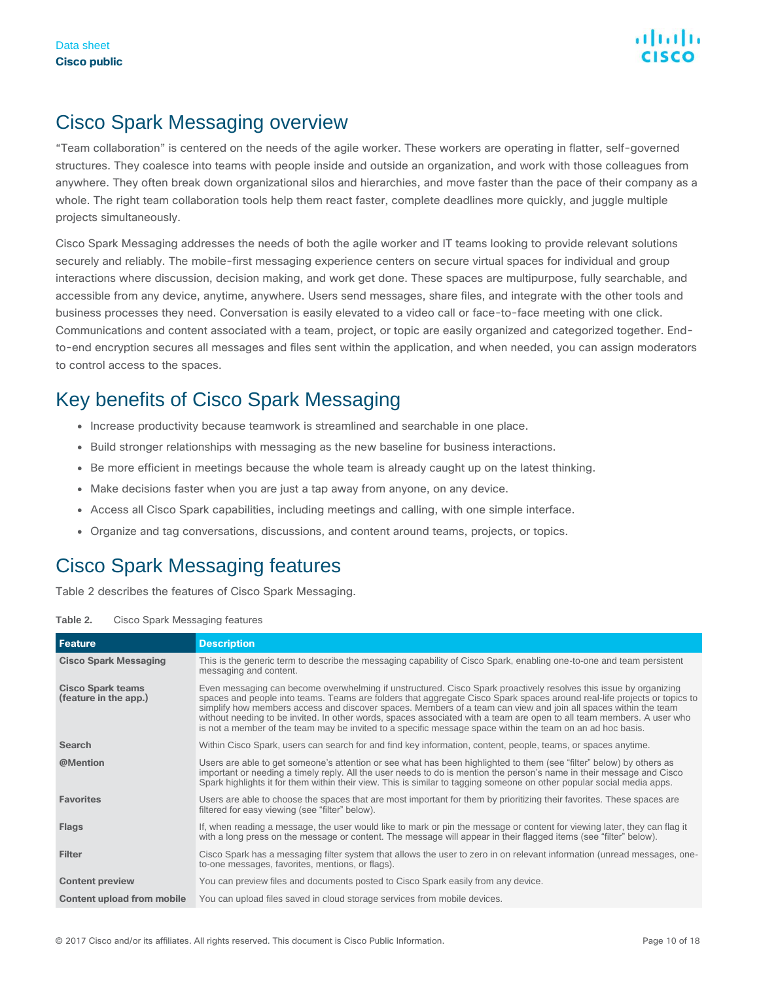### Cisco Spark Messaging overview

"Team collaboration" is centered on the needs of the agile worker. These workers are operating in flatter, self-governed structures. They coalesce into teams with people inside and outside an organization, and work with those colleagues from anywhere. They often break down organizational silos and hierarchies, and move faster than the pace of their company as a whole. The right team collaboration tools help them react faster, complete deadlines more quickly, and juggle multiple projects simultaneously.

Cisco Spark Messaging addresses the needs of both the agile worker and IT teams looking to provide relevant solutions securely and reliably. The mobile-first messaging experience centers on secure virtual spaces for individual and group interactions where discussion, decision making, and work get done. These spaces are multipurpose, fully searchable, and accessible from any device, anytime, anywhere. Users send messages, share files, and integrate with the other tools and business processes they need. Conversation is easily elevated to a video call or face-to-face meeting with one click. Communications and content associated with a team, project, or topic are easily organized and categorized together. Endto-end encryption secures all messages and files sent within the application, and when needed, you can assign moderators to control access to the spaces.

### Key benefits of Cisco Spark Messaging

- Increase productivity because teamwork is streamlined and searchable in one place.
- Build stronger relationships with messaging as the new baseline for business interactions.
- Be more efficient in meetings because the whole team is already caught up on the latest thinking.
- Make decisions faster when you are just a tap away from anyone, on any device.
- Access all Cisco Spark capabilities, including meetings and calling, with one simple interface.
- Organize and tag conversations, discussions, and content around teams, projects, or topics.

### Cisco Spark Messaging features

Table 2 describes the features of Cisco Spark Messaging.

| <b>Feature</b>                                    | <b>Description</b>                                                                                                                                                                                                                                                                                                                                                                                                                                                                                                                                                                                      |
|---------------------------------------------------|---------------------------------------------------------------------------------------------------------------------------------------------------------------------------------------------------------------------------------------------------------------------------------------------------------------------------------------------------------------------------------------------------------------------------------------------------------------------------------------------------------------------------------------------------------------------------------------------------------|
| <b>Cisco Spark Messaging</b>                      | This is the generic term to describe the messaging capability of Cisco Spark, enabling one-to-one and team persistent<br>messaging and content.                                                                                                                                                                                                                                                                                                                                                                                                                                                         |
| <b>Cisco Spark teams</b><br>(feature in the app.) | Even messaging can become overwhelming if unstructured. Cisco Spark proactively resolves this issue by organizing<br>spaces and people into teams. Teams are folders that aggregate Cisco Spark spaces around real-life projects or topics to<br>simplify how members access and discover spaces. Members of a team can view and join all spaces within the team<br>without needing to be invited. In other words, spaces associated with a team are open to all team members. A user who<br>is not a member of the team may be invited to a specific message space within the team on an ad hoc basis. |
| <b>Search</b>                                     | Within Cisco Spark, users can search for and find key information, content, people, teams, or spaces anytime.                                                                                                                                                                                                                                                                                                                                                                                                                                                                                           |
| @Mention                                          | Users are able to get someone's attention or see what has been highlighted to them (see "filter" below) by others as<br>important or needing a timely reply. All the user needs to do is mention the person's name in their message and Cisco<br>Spark highlights it for them within their view. This is similar to tagging someone on other popular social media apps.                                                                                                                                                                                                                                 |
| <b>Favorites</b>                                  | Users are able to choose the spaces that are most important for them by prioritizing their favorites. These spaces are<br>filtered for easy viewing (see "filter" below).                                                                                                                                                                                                                                                                                                                                                                                                                               |
| <b>Flags</b>                                      | If, when reading a message, the user would like to mark or pin the message or content for viewing later, they can flag it<br>with a long press on the message or content. The message will appear in their flagged items (see "filter" below).                                                                                                                                                                                                                                                                                                                                                          |
| <b>Filter</b>                                     | Cisco Spark has a messaging filter system that allows the user to zero in on relevant information (unread messages, one-<br>to-one messages, favorites, mentions, or flags).                                                                                                                                                                                                                                                                                                                                                                                                                            |
| <b>Content preview</b>                            | You can preview files and documents posted to Cisco Spark easily from any device.                                                                                                                                                                                                                                                                                                                                                                                                                                                                                                                       |
| <b>Content upload from mobile</b>                 | You can upload files saved in cloud storage services from mobile devices.                                                                                                                                                                                                                                                                                                                                                                                                                                                                                                                               |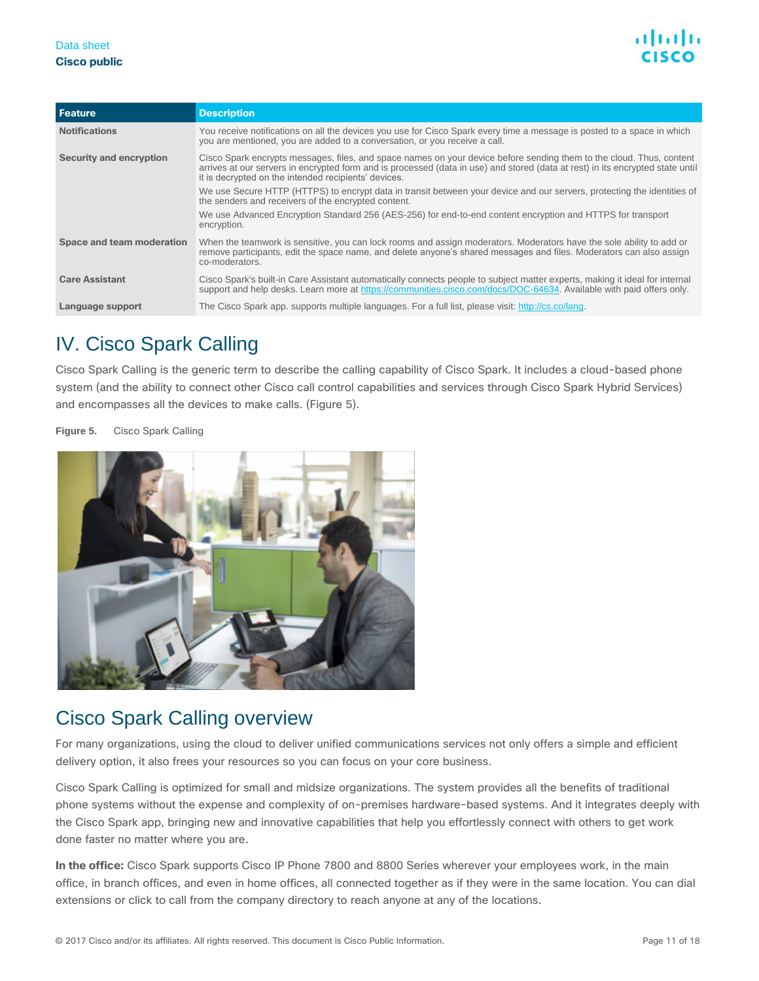| Feature                   | <b>Description</b>                                                                                                                                                                                                                                                                                             |
|---------------------------|----------------------------------------------------------------------------------------------------------------------------------------------------------------------------------------------------------------------------------------------------------------------------------------------------------------|
| <b>Notifications</b>      | You receive notifications on all the devices you use for Cisco Spark every time a message is posted to a space in which<br>you are mentioned, you are added to a conversation, or you receive a call.                                                                                                          |
| Security and encryption   | Cisco Spark encrypts messages, files, and space names on your device before sending them to the cloud. Thus, content<br>arrives at our servers in encrypted form and is processed (data in use) and stored (data at rest) in its encrypted state until<br>it is decrypted on the intended recipients' devices. |
|                           | We use Secure HTTP (HTTPS) to encrypt data in transit between your device and our servers, protecting the identities of<br>the senders and receivers of the encrypted content.                                                                                                                                 |
|                           | We use Advanced Encryption Standard 256 (AES-256) for end-to-end content encryption and HTTPS for transport<br>encryption.                                                                                                                                                                                     |
| Space and team moderation | When the teamwork is sensitive, you can lock rooms and assign moderators. Moderators have the sole ability to add or<br>remove participants, edit the space name, and delete anyone's shared messages and files. Moderators can also assign<br>co-moderators.                                                  |
| <b>Care Assistant</b>     | Cisco Spark's built-in Care Assistant automatically connects people to subject matter experts, making it ideal for internal<br>support and help desks. Learn more at https://communities.cisco.com/docs/DOC-64634. Available with paid offers only.                                                            |
| Language support          | The Cisco Spark app. supports multiple languages. For a full list, please visit: http://cs.co/lang.                                                                                                                                                                                                            |

### <span id="page-10-0"></span>IV. Cisco Spark Calling

Cisco Spark Calling is the generic term to describe the calling capability of Cisco Spark. It includes a cloud-based phone system (and the ability to connect other Cisco call control capabilities and services through Cisco Spark Hybrid Services) and encompasses all the devices to make calls. (Figure 5).

**Figure 5.** Cisco Spark Calling



### Cisco Spark Calling overview

For many organizations, using the cloud to deliver unified communications services not only offers a simple and efficient delivery option, it also frees your resources so you can focus on your core business.

Cisco Spark Calling is optimized for small and midsize organizations. The system provides all the benefits of traditional phone systems without the expense and complexity of on-premises hardware-based systems. And it integrates deeply with the Cisco Spark app, bringing new and innovative capabilities that help you effortlessly connect with others to get work done faster no matter where you are.

**In the office:** Cisco Spark supports Cisco IP Phone 7800 and 8800 Series wherever your employees work, in the main office, in branch offices, and even in home offices, all connected together as if they were in the same location. You can dial extensions or click to call from the company directory to reach anyone at any of the locations.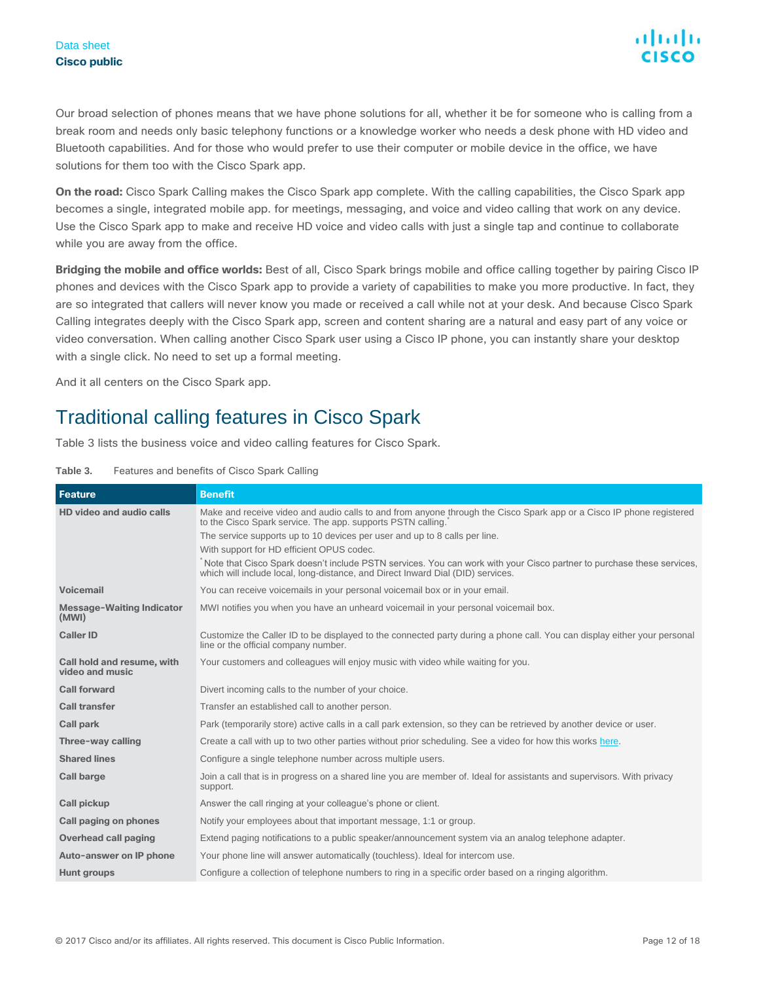Our broad selection of phones means that we have phone solutions for all, whether it be for someone who is calling from a break room and needs only basic telephony functions or a knowledge worker who needs a desk phone with HD video and Bluetooth capabilities. And for those who would prefer to use their computer or mobile device in the office, we have solutions for them too with the Cisco Spark app.

**On the road:** Cisco Spark Calling makes the Cisco Spark app complete. With the calling capabilities, the Cisco Spark app becomes a single, integrated mobile app. for meetings, messaging, and voice and video calling that work on any device. Use the Cisco Spark app to make and receive HD voice and video calls with just a single tap and continue to collaborate while you are away from the office.

**Bridging the mobile and office worlds:** Best of all, Cisco Spark brings mobile and office calling together by pairing Cisco IP phones and devices with the Cisco Spark app to provide a variety of capabilities to make you more productive. In fact, they are so integrated that callers will never know you made or received a call while not at your desk. And because Cisco Spark Calling integrates deeply with the Cisco Spark app, screen and content sharing are a natural and easy part of any voice or video conversation. When calling another Cisco Spark user using a Cisco IP phone, you can instantly share your desktop with a single click. No need to set up a formal meeting.

And it all centers on the Cisco Spark app.

### Traditional calling features in Cisco Spark

Table 3 lists the business voice and video calling features for Cisco Spark.

| Table 3. | Features and benefits of Cisco Spark Calling |  |  |  |  |  |  |
|----------|----------------------------------------------|--|--|--|--|--|--|
|----------|----------------------------------------------|--|--|--|--|--|--|

| <b>Feature</b>                                | <b>Benefit</b>                                                                                                                                                                                           |
|-----------------------------------------------|----------------------------------------------------------------------------------------------------------------------------------------------------------------------------------------------------------|
| HD video and audio calls                      | Make and receive video and audio calls to and from anyone through the Cisco Spark app or a Cisco IP phone registered<br>to the Cisco Spark service. The app. supports PSTN calling.                      |
|                                               | The service supports up to 10 devices per user and up to 8 calls per line.                                                                                                                               |
|                                               | With support for HD efficient OPUS codec.                                                                                                                                                                |
|                                               | Note that Cisco Spark doesn't include PSTN services. You can work with your Cisco partner to purchase these services,<br>which will include local, long-distance, and Direct Inward Dial (DID) services. |
| <b>Voicemail</b>                              | You can receive voicemails in your personal voicemail box or in your email.                                                                                                                              |
| <b>Message-Waiting Indicator</b><br>(MWI)     | MWI notifies you when you have an unheard voicemail in your personal voicemail box.                                                                                                                      |
| <b>Caller ID</b>                              | Customize the Caller ID to be displayed to the connected party during a phone call. You can display either your personal<br>line or the official company number.                                         |
| Call hold and resume, with<br>video and music | Your customers and colleagues will enjoy music with video while waiting for you.                                                                                                                         |
| <b>Call forward</b>                           | Divert incoming calls to the number of your choice.                                                                                                                                                      |
| <b>Call transfer</b>                          | Transfer an established call to another person.                                                                                                                                                          |
| <b>Call park</b>                              | Park (temporarily store) active calls in a call park extension, so they can be retrieved by another device or user.                                                                                      |
| Three-way calling                             | Create a call with up to two other parties without prior scheduling. See a video for how this works here.                                                                                                |
| <b>Shared lines</b>                           | Configure a single telephone number across multiple users.                                                                                                                                               |
| <b>Call barge</b>                             | Join a call that is in progress on a shared line you are member of. Ideal for assistants and supervisors. With privacy<br>support.                                                                       |
| <b>Call pickup</b>                            | Answer the call ringing at your colleague's phone or client.                                                                                                                                             |
| Call paging on phones                         | Notify your employees about that important message, 1:1 or group.                                                                                                                                        |
| <b>Overhead call paging</b>                   | Extend paging notifications to a public speaker/announcement system via an analog telephone adapter.                                                                                                     |
| Auto-answer on IP phone                       | Your phone line will answer automatically (touchless). Ideal for intercom use.                                                                                                                           |
| <b>Hunt groups</b>                            | Configure a collection of telephone numbers to ring in a specific order based on a ringing algorithm.                                                                                                    |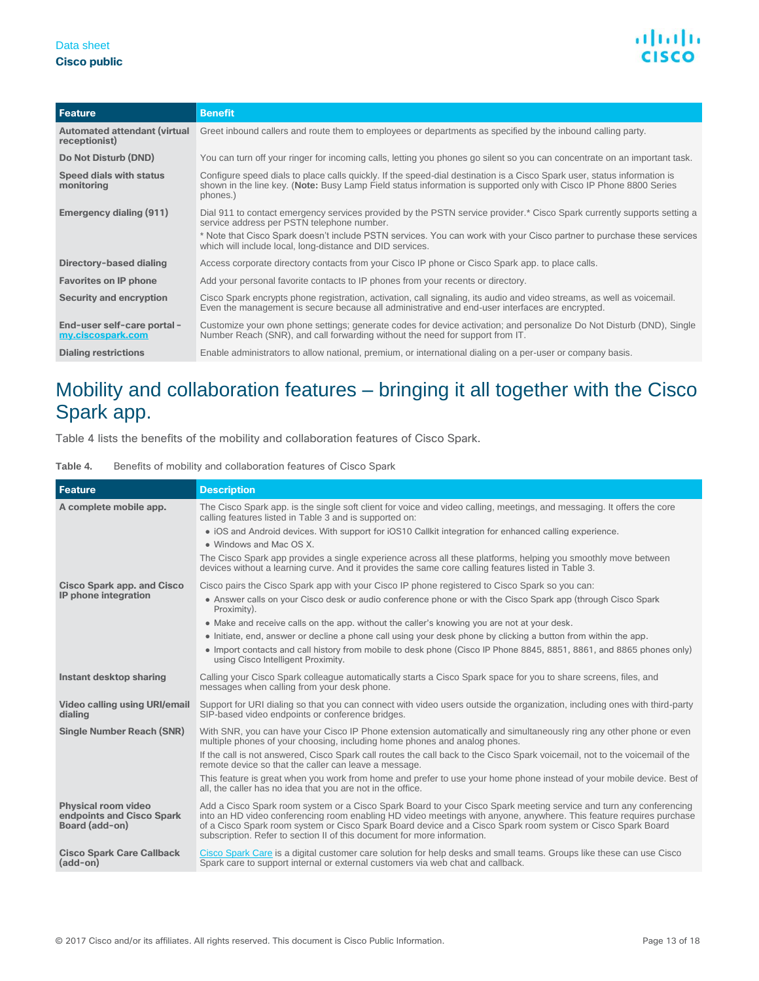#### Data sheet **Cisco public**



| Feature                                              | <b>Benefit</b>                                                                                                                                                                                                                                             |
|------------------------------------------------------|------------------------------------------------------------------------------------------------------------------------------------------------------------------------------------------------------------------------------------------------------------|
| <b>Automated attendant (virtual</b><br>receptionist) | Greet inbound callers and route them to employees or departments as specified by the inbound calling party.                                                                                                                                                |
| Do Not Disturb (DND)                                 | You can turn off your ringer for incoming calls, letting you phones go silent so you can concentrate on an important task.                                                                                                                                 |
| Speed dials with status<br>monitoring                | Configure speed dials to place calls quickly. If the speed-dial destination is a Cisco Spark user, status information is<br>shown in the line key. (Note: Busy Lamp Field status information is supported only with Cisco IP Phone 8800 Series<br>phones.) |
| Emergency dialing (911)                              | Dial 911 to contact emergency services provided by the PSTN service provider.* Cisco Spark currently supports setting a<br>service address per PSTN telephone number.                                                                                      |
|                                                      | * Note that Cisco Spark doesn't include PSTN services. You can work with your Cisco partner to purchase these services<br>which will include local, long-distance and DID services.                                                                        |
| Directory-based dialing                              | Access corporate directory contacts from your Cisco IP phone or Cisco Spark app. to place calls.                                                                                                                                                           |
| <b>Favorites on IP phone</b>                         | Add your personal favorite contacts to IP phones from your recents or directory.                                                                                                                                                                           |
| <b>Security and encryption</b>                       | Cisco Spark encrypts phone registration, activation, call signaling, its audio and video streams, as well as voicemail.<br>Even the management is secure because all administrative and end-user interfaces are encrypted.                                 |
| End-user self-care portal -<br>my.ciscospark.com     | Customize your own phone settings; generate codes for device activation; and personalize Do Not Disturb (DND), Single<br>Number Reach (SNR), and call forwarding without the need for support from IT.                                                     |
| <b>Dialing restrictions</b>                          | Enable administrators to allow national, premium, or international dialing on a per-user or company basis.                                                                                                                                                 |

### Mobility and collaboration features – bringing it all together with the Cisco Spark app.

Table 4 lists the benefits of the mobility and collaboration features of Cisco Spark.

#### Table 4. Benefits of mobility and collaboration features of Cisco Spark

| <b>Feature</b>                                                            | <b>Description</b>                                                                                                                                                                                                                                                                                                                                                                                                                   |
|---------------------------------------------------------------------------|--------------------------------------------------------------------------------------------------------------------------------------------------------------------------------------------------------------------------------------------------------------------------------------------------------------------------------------------------------------------------------------------------------------------------------------|
| A complete mobile app.                                                    | The Cisco Spark app. is the single soft client for voice and video calling, meetings, and messaging. It offers the core<br>calling features listed in Table 3 and is supported on:                                                                                                                                                                                                                                                   |
|                                                                           | • iOS and Android devices. With support for iOS10 Callkit integration for enhanced calling experience.                                                                                                                                                                                                                                                                                                                               |
|                                                                           | . Windows and Mac OS X.                                                                                                                                                                                                                                                                                                                                                                                                              |
|                                                                           | The Cisco Spark app provides a single experience across all these platforms, helping you smoothly move between<br>devices without a learning curve. And it provides the same core calling features listed in Table 3.                                                                                                                                                                                                                |
| <b>Cisco Spark app. and Cisco</b>                                         | Cisco pairs the Cisco Spark app with your Cisco IP phone registered to Cisco Spark so you can:                                                                                                                                                                                                                                                                                                                                       |
| IP phone integration                                                      | • Answer calls on your Cisco desk or audio conference phone or with the Cisco Spark app (through Cisco Spark<br>Proximity).                                                                                                                                                                                                                                                                                                          |
|                                                                           | • Make and receive calls on the app. without the caller's knowing you are not at your desk.                                                                                                                                                                                                                                                                                                                                          |
|                                                                           | • Initiate, end, answer or decline a phone call using your desk phone by clicking a button from within the app.                                                                                                                                                                                                                                                                                                                      |
|                                                                           | • Import contacts and call history from mobile to desk phone (Cisco IP Phone 8845, 8851, 8861, and 8865 phones only)<br>using Cisco Intelligent Proximity.                                                                                                                                                                                                                                                                           |
| Instant desktop sharing                                                   | Calling your Cisco Spark colleague automatically starts a Cisco Spark space for you to share screens, files, and<br>messages when calling from your desk phone.                                                                                                                                                                                                                                                                      |
| Video calling using URI/email<br>dialing                                  | Support for URI dialing so that you can connect with video users outside the organization, including ones with third-party<br>SIP-based video endpoints or conference bridges.                                                                                                                                                                                                                                                       |
| <b>Single Number Reach (SNR)</b>                                          | With SNR, you can have your Cisco IP Phone extension automatically and simultaneously ring any other phone or even<br>multiple phones of your choosing, including home phones and analog phones.                                                                                                                                                                                                                                     |
|                                                                           | If the call is not answered, Cisco Spark call routes the call back to the Cisco Spark voicemail, not to the voicemail of the<br>remote device so that the caller can leave a message.                                                                                                                                                                                                                                                |
|                                                                           | This feature is great when you work from home and prefer to use your home phone instead of your mobile device. Best of<br>all, the caller has no idea that you are not in the office.                                                                                                                                                                                                                                                |
| <b>Physical room video</b><br>endpoints and Cisco Spark<br>Board (add-on) | Add a Cisco Spark room system or a Cisco Spark Board to your Cisco Spark meeting service and turn any conferencing<br>into an HD video conferencing room enabling HD video meetings with anyone, anywhere. This feature requires purchase<br>of a Cisco Spark room system or Cisco Spark Board device and a Cisco Spark room system or Cisco Spark Board<br>subscription. Refer to section II of this document for more information. |
| <b>Cisco Spark Care Callback</b><br>$(add-on)$                            | Cisco Spark Care is a digital customer care solution for help desks and small teams. Groups like these can use Cisco<br>Spark care to support internal or external customers via web chat and callback.                                                                                                                                                                                                                              |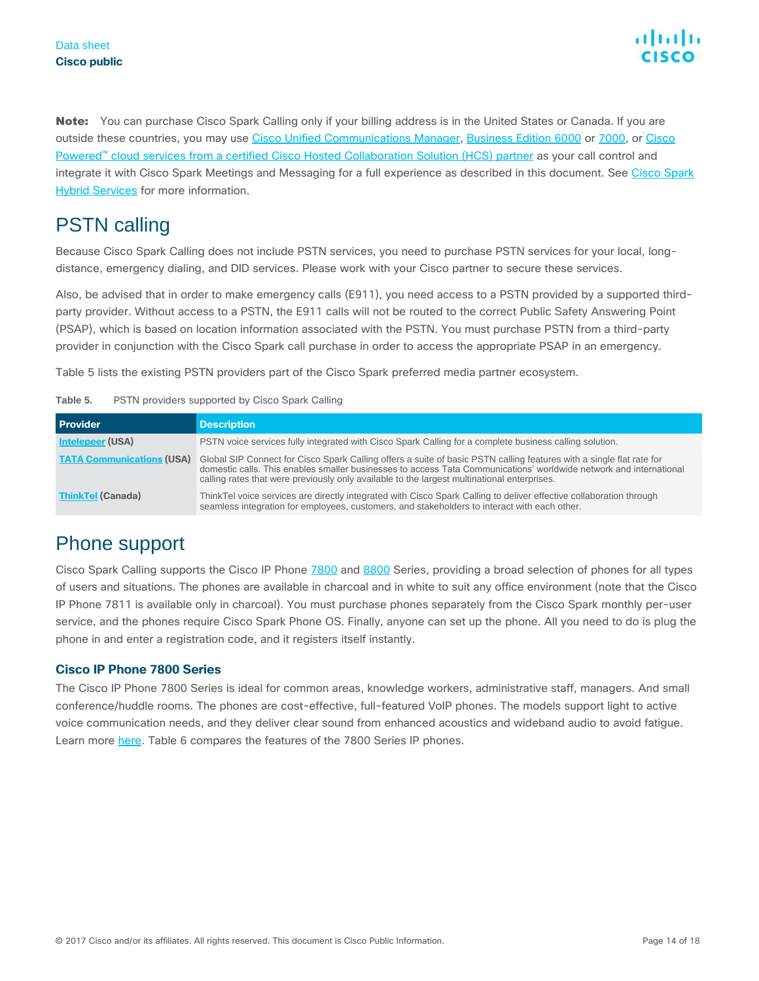Note: You can purchase Cisco Spark Calling only if your billing address is in the United States or Canada. If you are outside these countries, you may use [Cisco Unified Communications Manager,](http://www.cisco.com/c/en/us/products/unified-communications/unified-communications-manager-callmanager/index.html) [Business Edition 6000](http://www.cisco.com/go/be6000) or [7000,](http://www.cisco.com/go/be7000) or Cisco Powered™ [cloud services from a certified Cisco Hosted Collaboration Solution \(HCS\) partner](http://www.cisco.com/go/hcs) as your call control and integrate it with [Cisco Spark](http://www.cisco.com/go/sparkhybrid) Meetings and Messaging for a full experience as described in this document. See Cisco Spark [Hybrid Services](http://www.cisco.com/go/sparkhybrid) for more information.

### **PSTN calling**

Because Cisco Spark Calling does not include PSTN services, you need to purchase PSTN services for your local, longdistance, emergency dialing, and DID services. Please work with your Cisco partner to secure these services.

Also, be advised that in order to make emergency calls (E911), you need access to a PSTN provided by a supported thirdparty provider. Without access to a PSTN, the E911 calls will not be routed to the correct Public Safety Answering Point (PSAP), which is based on location information associated with the PSTN. You must purchase PSTN from a third-party provider in conjunction with the Cisco Spark call purchase in order to access the appropriate PSAP in an emergency.

Table 5 lists the existing PSTN providers part of the Cisco Spark preferred media partner ecosystem.

| Table 5. | PSTN providers supported by Cisco Spark Calling |  |  |  |  |
|----------|-------------------------------------------------|--|--|--|--|
|----------|-------------------------------------------------|--|--|--|--|

| <b>Provider</b>                  | <b>Description</b>                                                                                                                                                                                                                                                                                                                        |
|----------------------------------|-------------------------------------------------------------------------------------------------------------------------------------------------------------------------------------------------------------------------------------------------------------------------------------------------------------------------------------------|
| Intelepeer (USA)                 | PSTN voice services fully integrated with Cisco Spark Calling for a complete business calling solution.                                                                                                                                                                                                                                   |
| <b>TATA Communications (USA)</b> | Global SIP Connect for Cisco Spark Calling offers a suite of basic PSTN calling features with a single flat rate for<br>domestic calls. This enables smaller businesses to access Tata Communications' worldwide network and international<br>calling rates that were previously only available to the largest multinational enterprises. |
| <b>ThinkTel (Canada)</b>         | ThinkTel voice services are directly integrated with Cisco Spark Calling to deliver effective collaboration through<br>seamless integration for employees, customers, and stakeholders to interact with each other.                                                                                                                       |

### Phone support

Cisco Spark Calling supports the Cisco IP Phon[e 7800](http://www.cisco.com/c/en/us/products/collaboration-endpoints/unified-ip-phone-7800-series/index.html) and [8800](http://www.cisco.com/c/en/us/products/collaboration-endpoints/unified-ip-phone-8800-series/index.html) Series, providing a broad selection of phones for all types of users and situations. The phones are available in charcoal and in white to suit any office environment (note that the Cisco IP Phone 7811 is available only in charcoal). You must purchase phones separately from the Cisco Spark monthly per-user service, and the phones require Cisco Spark Phone OS. Finally, anyone can set up the phone. All you need to do is plug the phone in and enter a registration code, and it registers itself instantly.

#### **Cisco IP Phone 7800 Series**

The Cisco IP Phone 7800 Series is ideal for common areas, knowledge workers, administrative staff, managers. And small conference/huddle rooms. The phones are cost-effective, full-featured VoIP phones. The models support light to active voice communication needs, and they deliver clear sound from enhanced acoustics and wideband audio to avoid fatigue. Learn more [here.](http://www.cisco.com/c/en/us/products/collaboration-endpoints/unified-ip-phone-7800-series/index.html) Table 6 compares the features of the 7800 Series IP phones.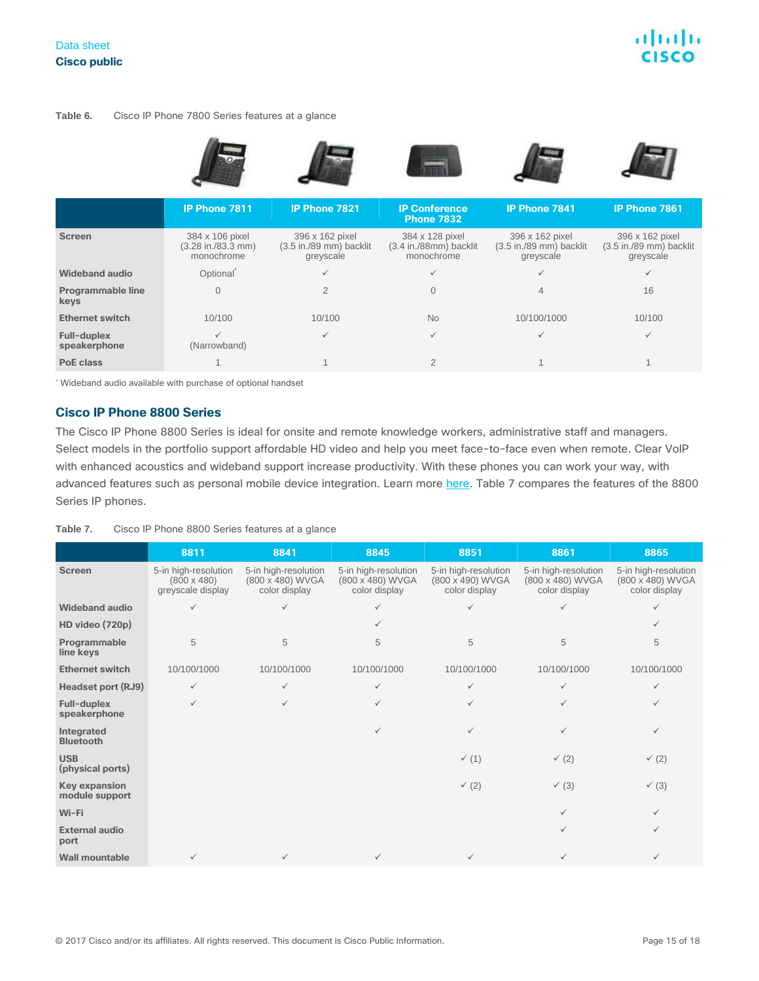#### **Table 6.** Cisco IP Phone 7800 Series features at a glance

|                                  | <b>IP Phone 7811</b>                                                  | <b>IP Phone 7821</b>                                                      | <b>IP Conference</b><br><b>Phone 7832</b>               | <b>IP Phone 7841</b>                                                      | <b>IP Phone 7861</b>                                                      |
|----------------------------------|-----------------------------------------------------------------------|---------------------------------------------------------------------------|---------------------------------------------------------|---------------------------------------------------------------------------|---------------------------------------------------------------------------|
| <b>Screen</b>                    | 384 x 106 pixel<br>$(3.28 \text{ in.}/83.3 \text{ mm})$<br>monochrome | 396 x 162 pixel<br>$(3.5 \text{ in.}/89 \text{ mm})$ backlit<br>greyscale | 384 x 128 pixel<br>(3.4 in./88mm) backlit<br>monochrome | 396 x 162 pixel<br>$(3.5 \text{ in.}/89 \text{ mm})$ backlit<br>greyscale | 396 x 162 pixel<br>$(3.5 \text{ in.}/89 \text{ mm})$ backlit<br>greyscale |
| <b>Wideband audio</b>            | Optional <sup>®</sup>                                                 |                                                                           |                                                         |                                                                           |                                                                           |
| <b>Programmable line</b><br>keys | $\overline{0}$                                                        | $\overline{2}$                                                            |                                                         | 4                                                                         | 16                                                                        |
| <b>Ethernet switch</b>           | 10/100                                                                | 10/100                                                                    | <b>No</b>                                               | 10/100/1000                                                               | 10/100                                                                    |
| Full-duplex<br>speakerphone      | $\checkmark$<br>(Narrowband)                                          | ✓                                                                         | ✓                                                       | $\checkmark$                                                              | ✓                                                                         |
| <b>PoE class</b>                 |                                                                       |                                                                           | $\overline{2}$                                          |                                                                           |                                                                           |

\* Wideband audio available with purchase of optional handset

#### **Cisco IP Phone 8800 Series**

The Cisco IP Phone 8800 Series is ideal for onsite and remote knowledge workers, administrative staff and managers. Select models in the portfolio support affordable HD video and help you meet face-to-face even when remote. Clear VoIP with enhanced acoustics and wideband support increase productivity. With these phones you can work your way, with advanced features such as personal mobile device integration. Learn more [here.](http://www.cisco.com/c/en/us/products/collaboration-endpoints/unified-ip-phone-8800-series/index.html) Table 7 compares the features of the 8800 Series IP phones.

#### **Table 7.** Cisco IP Phone 8800 Series features at a glance

|                                        | 8811                                                            | 8841                                                      | 8845                                                      | 8851                                                      | 8861                                                      | 8865                                                      |
|----------------------------------------|-----------------------------------------------------------------|-----------------------------------------------------------|-----------------------------------------------------------|-----------------------------------------------------------|-----------------------------------------------------------|-----------------------------------------------------------|
| <b>Screen</b>                          | 5-in high-resolution<br>$(800 \times 480)$<br>greyscale display | 5-in high-resolution<br>(800 x 480) WVGA<br>color display | 5-in high-resolution<br>(800 x 480) WVGA<br>color display | 5-in high-resolution<br>(800 x 490) WVGA<br>color display | 5-in high-resolution<br>(800 x 480) WVGA<br>color display | 5-in high-resolution<br>(800 x 480) WVGA<br>color display |
| <b>Wideband audio</b>                  |                                                                 | ✓                                                         | ✓                                                         | ✓                                                         | ✓                                                         | $\checkmark$                                              |
| HD video (720p)                        |                                                                 |                                                           | $\checkmark$                                              |                                                           |                                                           | $\checkmark$                                              |
| Programmable<br>line keys              | 5                                                               | 5                                                         | 5                                                         | 5                                                         | 5                                                         | 5                                                         |
| <b>Ethernet switch</b>                 | 10/100/1000                                                     | 10/100/1000                                               | 10/100/1000                                               | 10/100/1000                                               | 10/100/1000                                               | 10/100/1000                                               |
| Headset port (RJ9)                     | $\checkmark$                                                    | ✓                                                         | $\checkmark$                                              | $\checkmark$                                              | ✓                                                         | $\checkmark$                                              |
| Full-duplex<br>speakerphone            | $\checkmark$                                                    | ✓                                                         | $\checkmark$                                              | $\checkmark$                                              | ✓                                                         | $\checkmark$                                              |
| Integrated<br><b>Bluetooth</b>         |                                                                 |                                                           | $\checkmark$                                              | $\checkmark$                                              | ✓                                                         | $\checkmark$                                              |
| <b>USB</b><br>(physical ports)         |                                                                 |                                                           |                                                           | $\checkmark$ (1)                                          | $\checkmark$ (2)                                          | $\checkmark$ (2)                                          |
| <b>Key expansion</b><br>module support |                                                                 |                                                           |                                                           | $\checkmark$ (2)                                          | $\checkmark$ (3)                                          | $\checkmark$ (3)                                          |
| Wi-Fi                                  |                                                                 |                                                           |                                                           |                                                           | $\checkmark$                                              | $\checkmark$                                              |
| <b>External audio</b><br>port          |                                                                 |                                                           |                                                           |                                                           | ✓                                                         | $\checkmark$                                              |
| <b>Wall mountable</b>                  | ✓                                                               | ✓                                                         | $\checkmark$                                              | $\checkmark$                                              |                                                           | $\checkmark$                                              |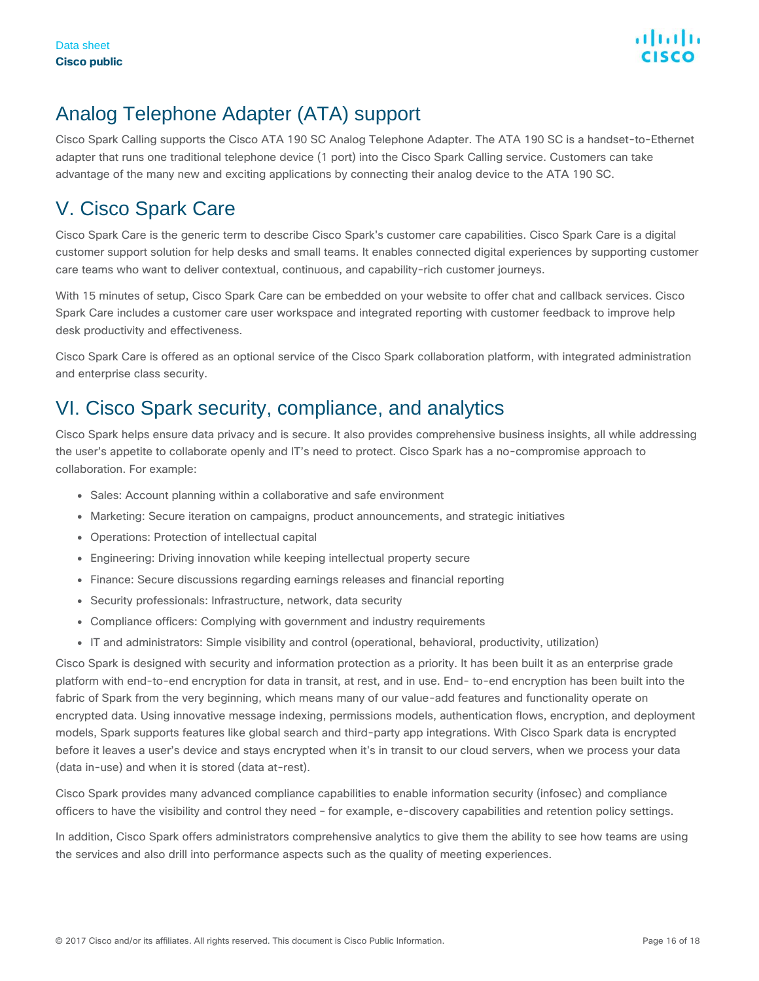### Analog Telephone Adapter (ATA) support

Cisco Spark Calling supports the Cisco ATA 190 SC Analog Telephone Adapter. The ATA 190 SC is a handset-to-Ethernet adapter that runs one traditional telephone device (1 port) into the Cisco Spark Calling service. Customers can take advantage of the many new and exciting applications by connecting their analog device to the ATA 190 SC.

### <span id="page-15-0"></span>V. Cisco Spark Care

Cisco Spark Care is the generic term to describe Cisco Spark's customer care capabilities. Cisco Spark Care is a digital customer support solution for help desks and small teams. It enables connected digital experiences by supporting customer care teams who want to deliver contextual, continuous, and capability-rich customer journeys.

With 15 minutes of setup, Cisco Spark Care can be embedded on your website to offer chat and callback services. Cisco Spark Care includes a customer care user workspace and integrated reporting with customer feedback to improve help desk productivity and effectiveness.

Cisco Spark Care is offered as an optional service of the Cisco Spark collaboration platform, with integrated administration and enterprise class security.

### <span id="page-15-1"></span>VI. Cisco Spark security, compliance, and analytics

Cisco Spark helps ensure data privacy and is secure. It also provides comprehensive business insights, all while addressing the user's appetite to collaborate openly and IT's need to protect. Cisco Spark has a no-compromise approach to collaboration. For example:

- Sales: Account planning within a collaborative and safe environment
- Marketing: Secure iteration on campaigns, product announcements, and strategic initiatives
- Operations: Protection of intellectual capital
- Engineering: Driving innovation while keeping intellectual property secure
- Finance: Secure discussions regarding earnings releases and financial reporting
- Security professionals: Infrastructure, network, data security
- Compliance officers: Complying with government and industry requirements
- IT and administrators: Simple visibility and control (operational, behavioral, productivity, utilization)

Cisco Spark is designed with security and information protection as a priority. It has been built it as an enterprise grade platform with end-to-end encryption for data in transit, at rest, and in use. End- to-end encryption has been built into the fabric of Spark from the very beginning, which means many of our value-add features and functionality operate on encrypted data. Using innovative message indexing, permissions models, authentication flows, encryption, and deployment models, Spark supports features like global search and third-party app integrations. With Cisco Spark data is encrypted before it leaves a user's device and stays encrypted when it's in transit to our cloud servers, when we process your data (data in-use) and when it is stored (data at-rest).

Cisco Spark provides many advanced compliance capabilities to enable information security (infosec) and compliance officers to have the visibility and control they need – for example, e-discovery capabilities and retention policy settings.

In addition, Cisco Spark offers administrators comprehensive analytics to give them the ability to see how teams are using the services and also drill into performance aspects such as the quality of meeting experiences.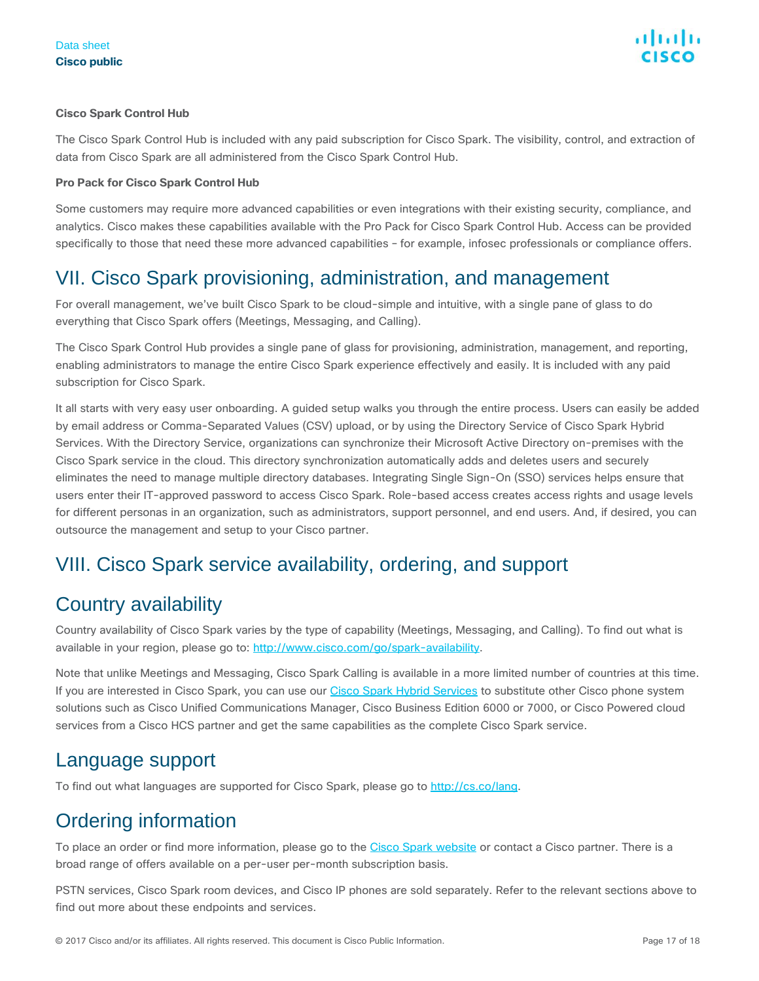#### **Cisco Spark Control Hub**

The Cisco Spark Control Hub is included with any paid subscription for Cisco Spark. The visibility, control, and extraction of data from Cisco Spark are all administered from the Cisco Spark Control Hub.

#### **Pro Pack for Cisco Spark Control Hub**

Some customers may require more advanced capabilities or even integrations with their existing security, compliance, and analytics. Cisco makes these capabilities available with the Pro Pack for Cisco Spark Control Hub. Access can be provided specifically to those that need these more advanced capabilities – for example, infosec professionals or compliance offers.

### <span id="page-16-0"></span>VII. Cisco Spark provisioning, administration, and management

For overall management, we've built Cisco Spark to be cloud-simple and intuitive, with a single pane of glass to do everything that Cisco Spark offers (Meetings, Messaging, and Calling).

The Cisco Spark Control Hub provides a single pane of glass for provisioning, administration, management, and reporting, enabling administrators to manage the entire Cisco Spark experience effectively and easily. It is included with any paid subscription for Cisco Spark.

It all starts with very easy user onboarding. A guided setup walks you through the entire process. Users can easily be added by email address or Comma-Separated Values (CSV) upload, or by using the Directory Service of Cisco Spark Hybrid Services. With the Directory Service, organizations can synchronize their Microsoft Active Directory on-premises with the Cisco Spark service in the cloud. This directory synchronization automatically adds and deletes users and securely eliminates the need to manage multiple directory databases. Integrating Single Sign-On (SSO) services helps ensure that users enter their IT-approved password to access Cisco Spark. Role-based access creates access rights and usage levels for different personas in an organization, such as administrators, support personnel, and end users. And, if desired, you can outsource the management and setup to your Cisco partner.

### <span id="page-16-1"></span>VIII. Cisco Spark service availability, ordering, and support

### Country availability

Country availability of Cisco Spark varies by the type of capability (Meetings, Messaging, and Calling). To find out what is available in your region, please go to: [http://www.cisco.com/go/spark-availability.](http://www.cisco.com/go/spark-availability)

Note that unlike Meetings and Messaging, Cisco Spark Calling is available in a more limited number of countries at this time. If you are interested in Cisco Spark, you can use our [Cisco Spark Hybrid Services](http://www.cisco.com/go/sparkhybrid) to substitute other Cisco phone system solutions such as Cisco Unified Communications Manager, Cisco Business Edition 6000 or 7000, or Cisco Powered cloud services from a Cisco HCS partner and get the same capabilities as the complete Cisco Spark service.

### Language support

To find out what languages are supported for Cisco Spark, please go to [http://cs.co/lang.](http://cs.co/lang)

### Ordering information

To place an order or find more information, please go to the [Cisco Spark website](http://www.ciscospark.com/) or contact a Cisco partner. There is a broad range of offers available on a per-user per-month subscription basis.

PSTN services, Cisco Spark room devices, and Cisco IP phones are sold separately. Refer to the relevant sections above to find out more about these endpoints and services.